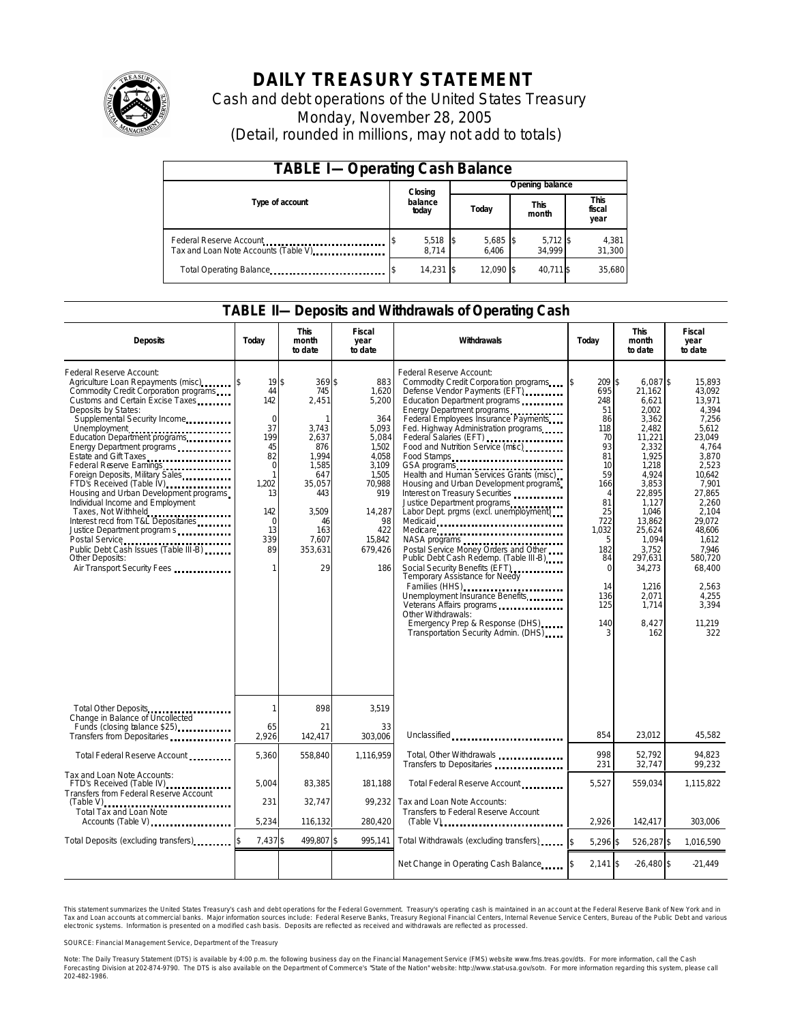

# **DAILY TREASURY STATEMENT**

Cash and debt operations of the United States Treasury Monday, November 28, 2005 (Detail, rounded in millions, may not add to totals)

| <b>TABLE I-Operating Cash Balance</b>                            |  |                     |  |                     |  |                      |  |                               |  |  |
|------------------------------------------------------------------|--|---------------------|--|---------------------|--|----------------------|--|-------------------------------|--|--|
|                                                                  |  | Closing             |  | Opening balance     |  |                      |  |                               |  |  |
| Type of account                                                  |  | balance<br>today    |  | Today               |  | <b>This</b><br>month |  | <b>This</b><br>fiscal<br>year |  |  |
| Federal Reserve Account<br>Tax and Loan Note Accounts (Table V). |  | $5,518$ \$<br>8.714 |  | $5,685$ \$<br>6.406 |  | $5,712$ \$<br>34.999 |  | 4,381<br>31,300               |  |  |
| Total Operating Balance                                          |  | 14,231 \$           |  | 12.090 \$           |  | 40.711 \$            |  | 35,680                        |  |  |

### **TABLE II—Deposits and Withdrawals of Operating Cash**

| <b>Deposits</b>                                                                                                                                                                                                                                                                                                                                                                                                                                                                                                                                                                                                                                                                                 | Today                                                                                                                                                                                  | <b>This</b><br>month<br>to date                                                                                                                           | <b>Fiscal</b><br>year<br>to date                                                                                                                       | Withdrawals                                                                                                                                                                                                                                                                                                                                                                                                                                                                                                                                                                                                                                                                                                                                                                   | Todav                                                                                                                                                                               | <b>This</b><br>month<br>to date                                                                                                                                                                                                                   | <b>Fiscal</b><br>year<br>to date                                                                                                                                                                                                                 |
|-------------------------------------------------------------------------------------------------------------------------------------------------------------------------------------------------------------------------------------------------------------------------------------------------------------------------------------------------------------------------------------------------------------------------------------------------------------------------------------------------------------------------------------------------------------------------------------------------------------------------------------------------------------------------------------------------|----------------------------------------------------------------------------------------------------------------------------------------------------------------------------------------|-----------------------------------------------------------------------------------------------------------------------------------------------------------|--------------------------------------------------------------------------------------------------------------------------------------------------------|-------------------------------------------------------------------------------------------------------------------------------------------------------------------------------------------------------------------------------------------------------------------------------------------------------------------------------------------------------------------------------------------------------------------------------------------------------------------------------------------------------------------------------------------------------------------------------------------------------------------------------------------------------------------------------------------------------------------------------------------------------------------------------|-------------------------------------------------------------------------------------------------------------------------------------------------------------------------------------|---------------------------------------------------------------------------------------------------------------------------------------------------------------------------------------------------------------------------------------------------|--------------------------------------------------------------------------------------------------------------------------------------------------------------------------------------------------------------------------------------------------|
| Federal Reserve Account:<br>Agriculture Loan Repayments (misc)<br>Commodity Credit Corporation programs<br>Customs and Certain Excise Taxes<br>Deposits by States:<br>Supplemental Security Income<br>Unemployment<br>Education Department programs<br>Energy Department programs<br>Estate and Gift Taxes<br>Federal Reserve Earnings<br>Foreign Deposits, Military Sales<br>FTD's Received (Table IV) <b>FILM</b> 1997<br>Housing and Urban Development programs<br>Individual Income and Employment<br>Taxes, Not Withheld<br>Interest recd from T&L Depositaries<br>Justice Department program s<br>Public Debt Cash Issues (Table III-B)<br>Other Deposits:<br>Air Transport Security Fees | 19 <sup>5</sup><br>44<br>142<br>$\mathbf 0$<br>37<br>199<br>45<br>82<br>$\Omega$<br>$\mathbf{1}$<br>1.202<br>13<br>142<br>$\mathbf 0$<br>13<br>339<br>89<br>1                          | 369 \$<br>745<br>2,451<br>$\mathbf{1}$<br>3,743<br>2.637<br>876<br>1.994<br>1,585<br>647<br>35,057<br>443<br>3,509<br>46<br>163<br>7.607<br>353,631<br>29 | 883<br>1,620<br>5,200<br>364<br>5.093<br>5,084<br>1,502<br>4,058<br>3,109<br>1,505<br>70,988<br>919<br>14,287<br>98<br>422<br>15,842<br>679,426<br>186 | Federal Reserve Account:<br>Defense Vendor Payments (EFT)<br>Education Department programs<br>Energy Department programs<br>Federal Employees Insurance Payments<br>Fed. Highway Administration programs<br>Federal Salaries (EFT)<br>Food and Nutrition Service (msc)<br>Food Stamps<br>Health and Human Services Grants (misc)<br>Housing and Urban Development programs<br>Interest on Treasury Securities<br>Justice Department programs<br>Labor Dept. prgms (excl. unemployment)<br>Medicare<br>Postal Service Money Orders and Other<br>Public Debt Cash Redemp. (Table III-B)<br>Temporary Assistance for Needy<br>Families (HHS)<br>Unemployment Insurance Benefits<br>Other Withdrawals:<br>Emergency Prep & Response (DHS)<br>Transportation Security Admin. (DHS) | 209 \$<br>695<br>248<br>51<br>86<br>118<br>70<br>93<br>81<br>10<br>59<br>166<br>$\overline{4}$<br>81<br>25<br>722<br>1,032<br>5<br>182<br>84<br>$\Omega$<br>14<br>136<br>125<br>140 | $6.087$ \$<br>21,162<br>6,621<br>2,002<br>3,362<br>2,482<br>11,221<br>2,332<br>1,925<br>1,218<br>4.924<br>3,853<br>22,895<br>1,127<br>1,046<br>13,862<br>25,624<br>1,094<br>3,752<br>297,631<br>34.273<br>1,216<br>2,071<br>1,714<br>8,427<br>162 | 15,893<br>43.092<br>13,971<br>4,394<br>7,256<br>5.612<br>23.049<br>4,764<br>3.870<br>2,523<br>10.642<br>7,901<br>27,865<br>2,260<br>2,104<br>29.072<br>48,606<br>1.612<br>7.946<br>580,720<br>68.400<br>2.563<br>4,255<br>3,394<br>11,219<br>322 |
| Total Other Deposits                                                                                                                                                                                                                                                                                                                                                                                                                                                                                                                                                                                                                                                                            | 1                                                                                                                                                                                      | 898                                                                                                                                                       | 3,519                                                                                                                                                  |                                                                                                                                                                                                                                                                                                                                                                                                                                                                                                                                                                                                                                                                                                                                                                               |                                                                                                                                                                                     |                                                                                                                                                                                                                                                   |                                                                                                                                                                                                                                                  |
| Change in Balance of Uncollected<br>Funds (closing balance \$25)<br>Transfers from Depositaries                                                                                                                                                                                                                                                                                                                                                                                                                                                                                                                                                                                                 | 65<br>2,926                                                                                                                                                                            | 21<br>142,417                                                                                                                                             | 33<br>303.006                                                                                                                                          | Unclassified                                                                                                                                                                                                                                                                                                                                                                                                                                                                                                                                                                                                                                                                                                                                                                  | 854                                                                                                                                                                                 | 23,012                                                                                                                                                                                                                                            | 45,582                                                                                                                                                                                                                                           |
| Total Federal Reserve Account                                                                                                                                                                                                                                                                                                                                                                                                                                                                                                                                                                                                                                                                   | 5,360                                                                                                                                                                                  | 558,840                                                                                                                                                   | 1,116,959                                                                                                                                              | Total, Other Withdrawals<br>Transfers to Depositaries                                                                                                                                                                                                                                                                                                                                                                                                                                                                                                                                                                                                                                                                                                                         | 998<br>231                                                                                                                                                                          | 52.792<br>32,747                                                                                                                                                                                                                                  | 94.823<br>99.232                                                                                                                                                                                                                                 |
| Tax and Loan Note Accounts:<br>FTD's Received (Table IV)<br><br>Transfers from Federal Reserve Account                                                                                                                                                                                                                                                                                                                                                                                                                                                                                                                                                                                          | 5.004                                                                                                                                                                                  | 83,385                                                                                                                                                    | 181,188                                                                                                                                                | Total Federal Reserve Account                                                                                                                                                                                                                                                                                                                                                                                                                                                                                                                                                                                                                                                                                                                                                 | 5,527                                                                                                                                                                               | 559,034                                                                                                                                                                                                                                           | 1,115,822                                                                                                                                                                                                                                        |
| $(Table V)$<br>Total Tax and Loan Note<br>Accounts (Table V)                                                                                                                                                                                                                                                                                                                                                                                                                                                                                                                                                                                                                                    | 231<br>32.747<br>99.232<br>Tax and Loan Note Accounts:<br>Transfers to Federal Reserve Account<br>5,234<br>280,420<br>116,132<br>$(Table V)$ <sub>111111111111111111111111111111</sub> |                                                                                                                                                           |                                                                                                                                                        |                                                                                                                                                                                                                                                                                                                                                                                                                                                                                                                                                                                                                                                                                                                                                                               | 2,926                                                                                                                                                                               | 142,417                                                                                                                                                                                                                                           | 303,006                                                                                                                                                                                                                                          |
| Total Deposits (excluding transfers)                                                                                                                                                                                                                                                                                                                                                                                                                                                                                                                                                                                                                                                            | 7,437\$                                                                                                                                                                                | 499,807 \$                                                                                                                                                | 995,141                                                                                                                                                | Total Withdrawals (excluding transfers)                                                                                                                                                                                                                                                                                                                                                                                                                                                                                                                                                                                                                                                                                                                                       | 5,296 \$                                                                                                                                                                            | 526,287 \$                                                                                                                                                                                                                                        | 1,016,590                                                                                                                                                                                                                                        |
|                                                                                                                                                                                                                                                                                                                                                                                                                                                                                                                                                                                                                                                                                                 |                                                                                                                                                                                        |                                                                                                                                                           |                                                                                                                                                        | Net Change in Operating Cash Balance                                                                                                                                                                                                                                                                                                                                                                                                                                                                                                                                                                                                                                                                                                                                          | $2,141$ \$                                                                                                                                                                          | $-26.480$ \$                                                                                                                                                                                                                                      | $-21.449$                                                                                                                                                                                                                                        |

This statement summarizes the United States Treasury's cash and debt operations for the Federal Government. Treasury's operating cash is maintained in an account at the Federal Reserve Bank of New York and in Tax and Loan accounts at commercial banks. Major information sources include: Federal Reserve Banks, Treasury Regional Financial Centers, Internal Revenue Service Centers, Bureau of the Public Debt and various<br>electronic s

SOURCE: Financial Management Service, Department of the Treasury

Note: The Daily Treasury Statement (DTS) is available by 4:00 p.m. the following business day on the Financial Management Service (FMS) website www.fms.treas.gov/dts.<br>Forecasting Division at 202-874-9790. The DTS is also a 'S) is available by 4:00 p.m. the following business day on the Financial Management Service (FMS) website www.fms.treas.gov/dts. For more information, call the Cash<br>The DTS is also available on the Department of Commerce'